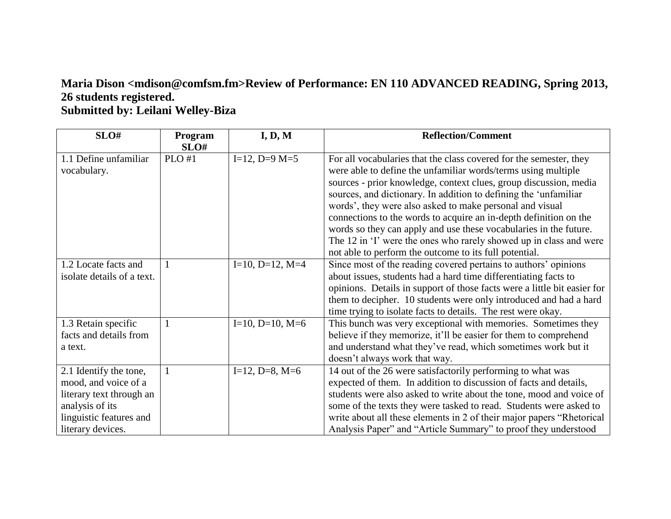## **Maria Dison <mdison@comfsm.fm>Review of Performance: EN 110 ADVANCED READING, Spring 2013, 26 students registered. Submitted by: Leilani Welley-Biza**

| SLO#                                                                                                                                          | Program<br>SLO# | I, D, M                 | <b>Reflection/Comment</b>                                                                                                                                                                                                                                                                                                                                                                                                                                                                                                                                                                                          |
|-----------------------------------------------------------------------------------------------------------------------------------------------|-----------------|-------------------------|--------------------------------------------------------------------------------------------------------------------------------------------------------------------------------------------------------------------------------------------------------------------------------------------------------------------------------------------------------------------------------------------------------------------------------------------------------------------------------------------------------------------------------------------------------------------------------------------------------------------|
| 1.1 Define unfamiliar<br>vocabulary.                                                                                                          | PLO#1           | $I=12$ , $D=9$ M=5      | For all vocabularies that the class covered for the semester, they<br>were able to define the unfamiliar words/terms using multiple<br>sources - prior knowledge, context clues, group discussion, media<br>sources, and dictionary. In addition to defining the 'unfamiliar<br>words', they were also asked to make personal and visual<br>connections to the words to acquire an in-depth definition on the<br>words so they can apply and use these vocabularies in the future.<br>The 12 in 'I' were the ones who rarely showed up in class and were<br>not able to perform the outcome to its full potential. |
| 1.2 Locate facts and<br>isolate details of a text.                                                                                            |                 | $I=10$ , $D=12$ , $M=4$ | Since most of the reading covered pertains to authors' opinions<br>about issues, students had a hard time differentiating facts to<br>opinions. Details in support of those facts were a little bit easier for<br>them to decipher. 10 students were only introduced and had a hard<br>time trying to isolate facts to details. The rest were okay.                                                                                                                                                                                                                                                                |
| 1.3 Retain specific<br>facts and details from<br>a text.                                                                                      | $\mathbf{1}$    | $I=10$ , $D=10$ , $M=6$ | This bunch was very exceptional with memories. Sometimes they<br>believe if they memorize, it'll be easier for them to comprehend<br>and understand what they've read, which sometimes work but it<br>doesn't always work that way.                                                                                                                                                                                                                                                                                                                                                                                |
| 2.1 Identify the tone,<br>mood, and voice of a<br>literary text through an<br>analysis of its<br>linguistic features and<br>literary devices. | $\mathbf{1}$    | $I=12$ , D=8, M=6       | 14 out of the 26 were satisfactorily performing to what was<br>expected of them. In addition to discussion of facts and details,<br>students were also asked to write about the tone, mood and voice of<br>some of the texts they were tasked to read. Students were asked to<br>write about all these elements in 2 of their major papers "Rhetorical"<br>Analysis Paper" and "Article Summary" to proof they understood                                                                                                                                                                                          |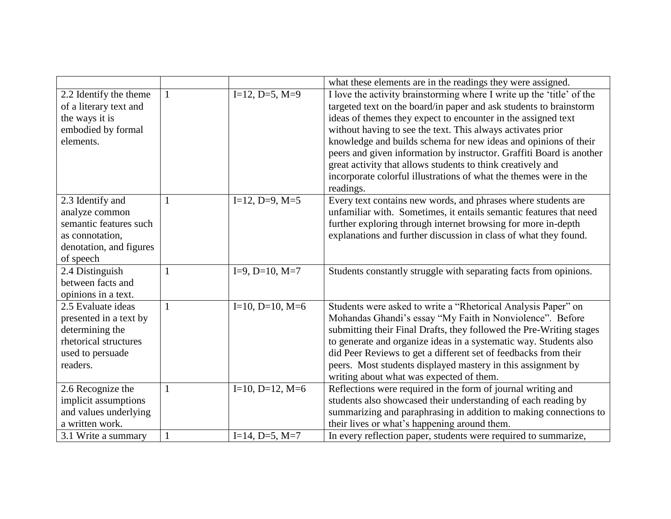|                                    |              |                         | what these elements are in the readings they were assigned.                                                                         |
|------------------------------------|--------------|-------------------------|-------------------------------------------------------------------------------------------------------------------------------------|
| 2.2 Identify the theme             | $\mathbf{1}$ | $I=12$ , D=5, M=9       | I love the activity brainstorming where I write up the 'title' of the                                                               |
| of a literary text and             |              |                         | targeted text on the board/in paper and ask students to brainstorm                                                                  |
| the ways it is                     |              |                         | ideas of themes they expect to encounter in the assigned text                                                                       |
| embodied by formal                 |              |                         | without having to see the text. This always activates prior                                                                         |
| elements.                          |              |                         | knowledge and builds schema for new ideas and opinions of their                                                                     |
|                                    |              |                         | peers and given information by instructor. Graffiti Board is another                                                                |
|                                    |              |                         | great activity that allows students to think creatively and                                                                         |
|                                    |              |                         | incorporate colorful illustrations of what the themes were in the                                                                   |
|                                    |              | $I=12$ , $D=9$ , $M=5$  | readings.                                                                                                                           |
| 2.3 Identify and<br>analyze common | 1            |                         | Every text contains new words, and phrases where students are<br>unfamiliar with. Sometimes, it entails semantic features that need |
| semantic features such             |              |                         | further exploring through internet browsing for more in-depth                                                                       |
| as connotation,                    |              |                         | explanations and further discussion in class of what they found.                                                                    |
| denotation, and figures            |              |                         |                                                                                                                                     |
| of speech                          |              |                         |                                                                                                                                     |
| 2.4 Distinguish                    | $\mathbf{1}$ | $I=9, D=10, M=7$        | Students constantly struggle with separating facts from opinions.                                                                   |
| between facts and                  |              |                         |                                                                                                                                     |
| opinions in a text.                |              |                         |                                                                                                                                     |
| 2.5 Evaluate ideas                 | $\mathbf{1}$ | $I=10$ , $D=10$ , $M=6$ | Students were asked to write a "Rhetorical Analysis Paper" on                                                                       |
| presented in a text by             |              |                         | Mohandas Ghandi's essay "My Faith in Nonviolence". Before                                                                           |
| determining the                    |              |                         | submitting their Final Drafts, they followed the Pre-Writing stages                                                                 |
| rhetorical structures              |              |                         | to generate and organize ideas in a systematic way. Students also                                                                   |
| used to persuade                   |              |                         | did Peer Reviews to get a different set of feedbacks from their                                                                     |
| readers.                           |              |                         | peers. Most students displayed mastery in this assignment by                                                                        |
|                                    |              |                         | writing about what was expected of them.                                                                                            |
| 2.6 Recognize the                  | $\mathbf{1}$ | $I=10$ , $D=12$ , $M=6$ | Reflections were required in the form of journal writing and                                                                        |
| implicit assumptions               |              |                         | students also showcased their understanding of each reading by                                                                      |
| and values underlying              |              |                         | summarizing and paraphrasing in addition to making connections to                                                                   |
| a written work.                    |              |                         | their lives or what's happening around them.                                                                                        |
| 3.1 Write a summary                | $\mathbf 1$  | $I=14$ , $D=5$ , $M=7$  | In every reflection paper, students were required to summarize,                                                                     |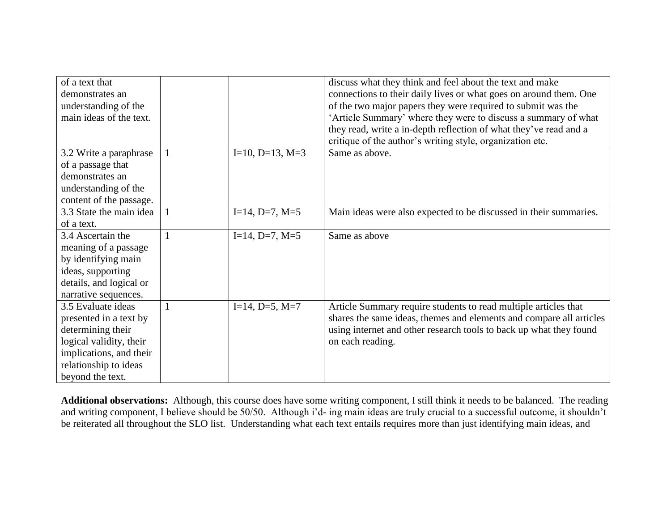| of a text that<br>demonstrates an<br>understanding of the<br>main ideas of the text.                                                                                 |                        | discuss what they think and feel about the text and make<br>connections to their daily lives or what goes on around them. One<br>of the two major papers they were required to submit was the<br>'Article Summary' where they were to discuss a summary of what<br>they read, write a in-depth reflection of what they've read and a<br>critique of the author's writing style, organization etc. |
|----------------------------------------------------------------------------------------------------------------------------------------------------------------------|------------------------|---------------------------------------------------------------------------------------------------------------------------------------------------------------------------------------------------------------------------------------------------------------------------------------------------------------------------------------------------------------------------------------------------|
| 3.2 Write a paraphrase<br>of a passage that<br>demonstrates an<br>understanding of the<br>content of the passage.                                                    | $I=10, D=13, M=3$      | Same as above.                                                                                                                                                                                                                                                                                                                                                                                    |
| 3.3 State the main idea<br>of a text.                                                                                                                                | $I=14$ , $D=7$ , $M=5$ | Main ideas were also expected to be discussed in their summaries.                                                                                                                                                                                                                                                                                                                                 |
| 3.4 Ascertain the<br>meaning of a passage<br>by identifying main<br>ideas, supporting<br>details, and logical or<br>narrative sequences.                             | $I=14$ , D=7, M=5      | Same as above                                                                                                                                                                                                                                                                                                                                                                                     |
| 3.5 Evaluate ideas<br>presented in a text by<br>determining their<br>logical validity, their<br>implications, and their<br>relationship to ideas<br>beyond the text. | $I=14$ , D=5, M=7      | Article Summary require students to read multiple articles that<br>shares the same ideas, themes and elements and compare all articles<br>using internet and other research tools to back up what they found<br>on each reading.                                                                                                                                                                  |

**Additional observations:** Although, this course does have some writing component, I still think it needs to be balanced. The reading and writing component, I believe should be 50/50. Although i'd- ing main ideas are truly crucial to a successful outcome, it shouldn't be reiterated all throughout the SLO list. Understanding what each text entails requires more than just identifying main ideas, and